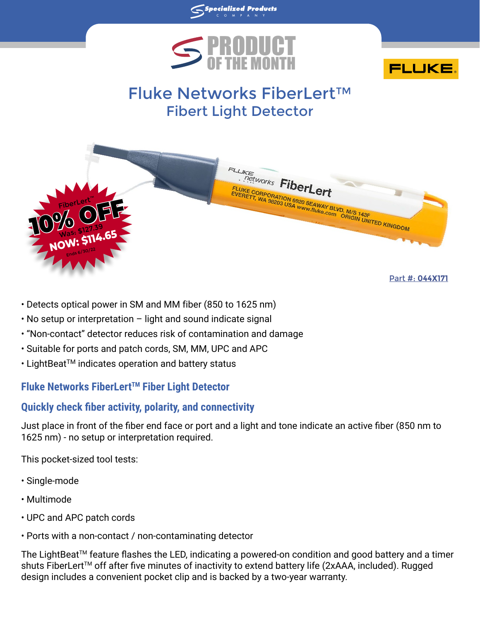

**Specialized Products** 



# Fluke Networks FiberLert™ Fibert Light Detector



- Detects optical power in SM and MM fiber (850 to 1625 nm)
- No setup or interpretation light and sound indicate signal
- "Non-contact" detector reduces risk of contamination and damage
- Suitable for ports and patch cords, SM, MM, UPC and APC
- LightBeat<sup>™</sup> indicates operation and battery status

## **Fluke Networks FiberLertTM Fiber Light Detector**

## **Quickly check fiber activity, polarity, and connectivity**

Just place in front of the fiber end face or port and a light and tone indicate an active fiber (850 nm to 1625 nm) - no setup or interpretation required.

This pocket-sized tool tests:

- Single-mode
- Multimode
- UPC and APC patch cords
- Ports with a non-contact / non-contaminating detector

The LightBeat™ feature flashes the LED, indicating a powered-on condition and good battery and a timer shuts FiberLert™ off after five minutes of inactivity to extend battery life (2xAAA, included). Rugged design includes a convenient pocket clip and is backed by a two-year warranty.